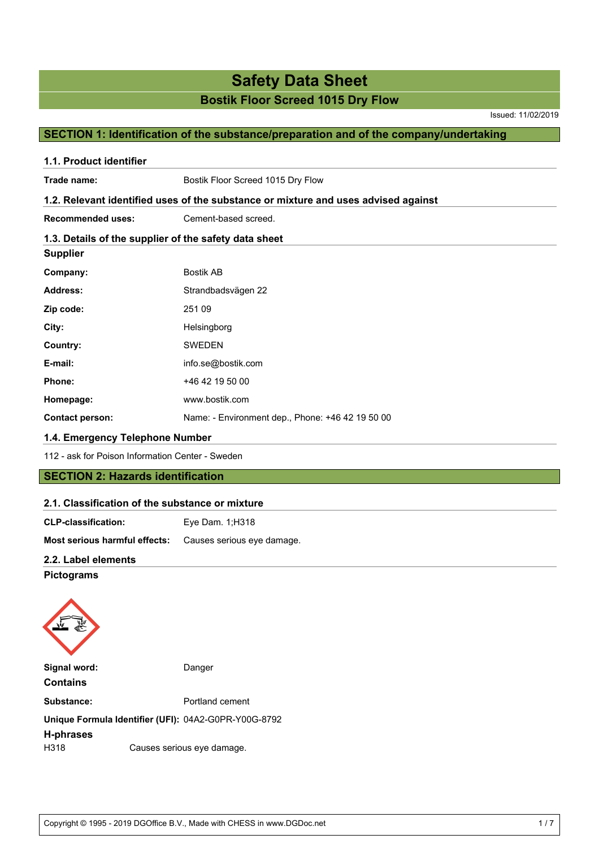Issued: 11/02/2019

## **SECTION 1: Identification of the substance/preparation and of the company/undertaking**

| Trade name:                                           | Bostik Floor Screed 1015 Dry Flow                                                  |
|-------------------------------------------------------|------------------------------------------------------------------------------------|
|                                                       | 1.2. Relevant identified uses of the substance or mixture and uses advised against |
| <b>Recommended uses:</b>                              | Cement-based screed.                                                               |
| 1.3. Details of the supplier of the safety data sheet |                                                                                    |
| <b>Supplier</b>                                       |                                                                                    |
| Company:                                              | <b>Bostik AB</b>                                                                   |
| <b>Address:</b>                                       | Strandbadsvägen 22                                                                 |
| Zip code:                                             | 251 09                                                                             |
| City:                                                 | Helsingborg                                                                        |
| Country:                                              | <b>SWEDEN</b>                                                                      |
| E-mail:                                               | info.se@bostik.com                                                                 |
| Phone:                                                | +46 42 19 50 00                                                                    |
| Homepage:                                             | www.bostik.com                                                                     |
| <b>Contact person:</b>                                | Name: - Environment dep., Phone: +46 42 19 50 00                                   |
| 1.4. Emergency Telephone Number                       |                                                                                    |
| 112 - ask for Poison Information Center - Sweden      |                                                                                    |
| <b>SECTION 2: Hazards identification</b>              |                                                                                    |
| 2.1. Classification of the substance or mixture       |                                                                                    |
| <b>CLP-classification:</b>                            | Eye Dam. 1;H318                                                                    |
| Most serious harmful effects:                         | Causes serious eye damage.                                                         |
| 2.2. Label elements                                   |                                                                                    |
| <b>Pictograms</b>                                     |                                                                                    |

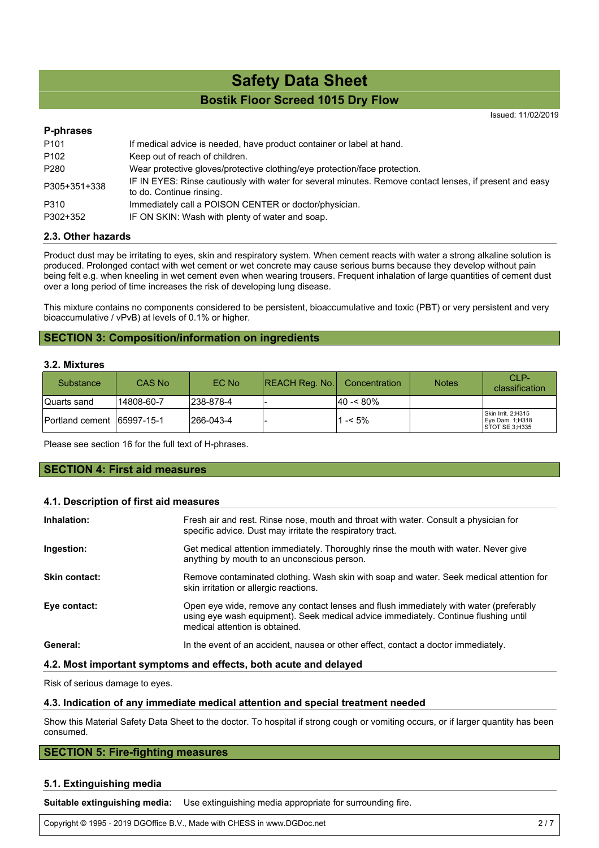Issued: 11/02/2019

## **P-phrases** P101 If medical advice is needed, have product container or label at hand. P102 Keep out of reach of children. P280 Wear protective gloves/protective clothing/eye protection/face protection. P305+351+338 IF IN EYES: Rinse cautiously with water for several minutes. Remove contact lenses, if present and easy to do. Continue rinsing. P310 Immediately call a POISON CENTER or doctor/physician. P302+352 IF ON SKIN: Wash with plenty of water and soap.

## **2.3. Other hazards**

Product dust may be irritating to eyes, skin and respiratory system. When cement reacts with water a strong alkaline solution is produced. Prolonged contact with wet cement or wet concrete may cause serious burns because they develop without pain being felt e.g. when kneeling in wet cement even when wearing trousers. Frequent inhalation of large quantities of cement dust over a long period of time increases the risk of developing lung disease.

This mixture contains no components considered to be persistent, bioaccumulative and toxic (PBT) or very persistent and very bioaccumulative / vPvB) at levels of 0.1% or higher.

## **SECTION 3: Composition/information on ingredients**

#### **3.2. Mixtures**

| Substance                   | CAS No     | EC No      | $ REACH$ Reg. No. | <b>Concentration</b> | <b>Notes</b> | CLP-<br>classification                                  |
|-----------------------------|------------|------------|-------------------|----------------------|--------------|---------------------------------------------------------|
| Quarts sand                 | 14808-60-7 | 1238-878-4 |                   | l40 -< 80%           |              |                                                         |
| Portland cement 165997-15-1 |            | l266-043-4 |                   | l -< 5%              |              | Skin Irrit. 2;H315<br>Eye Dam. 1;H318<br>STOT SE 3;H335 |

Please see section 16 for the full text of H-phrases.

## **SECTION 4: First aid measures**

#### **4.1. Description of first aid measures**

| Inhalation:          | Fresh air and rest. Rinse nose, mouth and throat with water. Consult a physician for<br>specific advice. Dust may irritate the respiratory tract.                                                              |
|----------------------|----------------------------------------------------------------------------------------------------------------------------------------------------------------------------------------------------------------|
| Ingestion:           | Get medical attention immediately. Thoroughly rinse the mouth with water. Never give<br>anything by mouth to an unconscious person.                                                                            |
| <b>Skin contact:</b> | Remove contaminated clothing. Wash skin with soap and water. Seek medical attention for<br>skin irritation or allergic reactions.                                                                              |
| Eye contact:         | Open eye wide, remove any contact lenses and flush immediately with water (preferably<br>using eye wash equipment). Seek medical advice immediately. Continue flushing until<br>medical attention is obtained. |
| General:             | In the event of an accident, nausea or other effect, contact a doctor immediately.                                                                                                                             |

#### **4.2. Most important symptoms and effects, both acute and delayed**

Risk of serious damage to eyes.

#### **4.3. Indication of any immediate medical attention and special treatment needed**

Show this Material Safety Data Sheet to the doctor. To hospital if strong cough or vomiting occurs, or if larger quantity has been consumed.

#### **SECTION 5: Fire-fighting measures**

## **5.1. Extinguishing media**

**Suitable extinguishing media:** Use extinguishing media appropriate for surrounding fire.

Copyright © 1995 - 2019 DGOffice B.V., Made with CHESS in www.DGDoc.net 2 / 7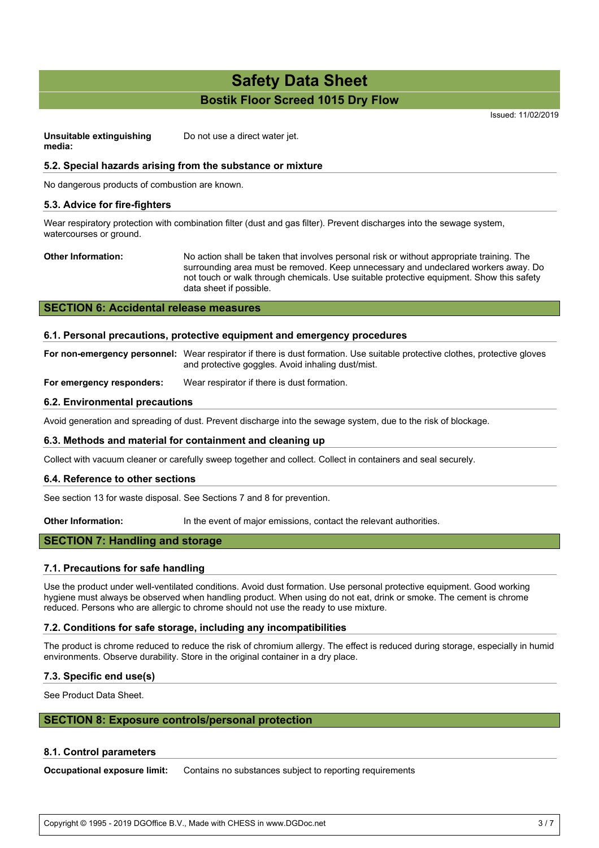Issued: 11/02/2019

**Unsuitable extinguishing media:** Do not use a direct water jet.

## **5.2. Special hazards arising from the substance or mixture**

No dangerous products of combustion are known.

## **5.3. Advice for fire-fighters**

Wear respiratory protection with combination filter (dust and gas filter). Prevent discharges into the sewage system, watercourses or ground.

**Other Information:** No action shall be taken that involves personal risk or without appropriate training. The surrounding area must be removed. Keep unnecessary and undeclared workers away. Do not touch or walk through chemicals. Use suitable protective equipment. Show this safety data sheet if possible.

## **SECTION 6: Accidental release measures**

## **6.1. Personal precautions, protective equipment and emergency procedures**

**For non-emergency personnel:** Wear respirator if there is dust formation. Use suitable protective clothes, protective gloves and protective goggles. Avoid inhaling dust/mist.

**For emergency responders:** Wear respirator if there is dust formation.

## **6.2. Environmental precautions**

Avoid generation and spreading of dust. Prevent discharge into the sewage system, due to the risk of blockage.

#### **6.3. Methods and material for containment and cleaning up**

Collect with vacuum cleaner or carefully sweep together and collect. Collect in containers and seal securely.

#### **6.4. Reference to other sections**

See section 13 for waste disposal. See Sections 7 and 8 for prevention.

**Other Information:** In the event of major emissions, contact the relevant authorities.

## **SECTION 7: Handling and storage**

## **7.1. Precautions for safe handling**

Use the product under well-ventilated conditions. Avoid dust formation. Use personal protective equipment. Good working hygiene must always be observed when handling product. When using do not eat, drink or smoke. The cement is chrome reduced. Persons who are allergic to chrome should not use the ready to use mixture.

#### **7.2. Conditions for safe storage, including any incompatibilities**

The product is chrome reduced to reduce the risk of chromium allergy. The effect is reduced during storage, especially in humid environments. Observe durability. Store in the original container in a dry place.

## **7.3. Specific end use(s)**

See Product Data Sheet.

## **SECTION 8: Exposure controls/personal protection**

## **8.1. Control parameters**

**Occupational exposure limit:** Contains no substances subject to reporting requirements

Copyright © 1995 - 2019 DGOffice B.V., Made with CHESS in www.DGDoc.net 3 / 7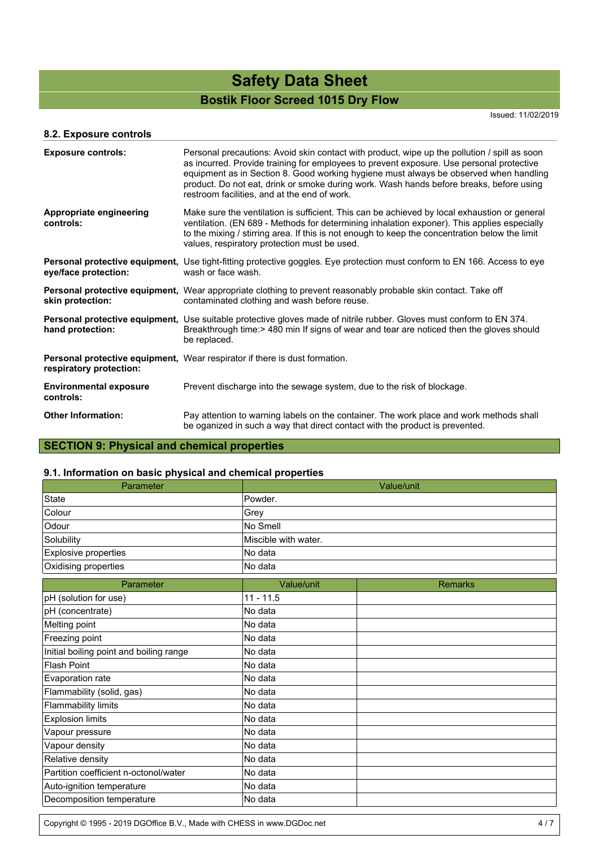Issued: 11/02/2019

## **8.2. Exposure controls**

| <b>Exposure controls:</b>                  | Personal precautions: Avoid skin contact with product, wipe up the pollution / spill as soon<br>as incurred. Provide training for employees to prevent exposure. Use personal protective<br>equipment as in Section 8. Good working hygiene must always be observed when handling<br>product. Do not eat, drink or smoke during work. Wash hands before breaks, before using<br>restroom facilities, and at the end of work. |  |
|--------------------------------------------|------------------------------------------------------------------------------------------------------------------------------------------------------------------------------------------------------------------------------------------------------------------------------------------------------------------------------------------------------------------------------------------------------------------------------|--|
| Appropriate engineering<br>controls:       | Make sure the ventilation is sufficient. This can be achieved by local exhaustion or general<br>ventilation. (EN 689 - Methods for determining inhalation exponer). This applies especially<br>to the mixing / stirring area. If this is not enough to keep the concentration below the limit<br>values, respiratory protection must be used.                                                                                |  |
| eye/face protection:                       | <b>Personal protective equipment,</b> Use tight-fitting protective goggles. Eye protection must conform to EN 166. Access to eye<br>wash or face wash.                                                                                                                                                                                                                                                                       |  |
| skin protection:                           | <b>Personal protective equipment,</b> Wear appropriate clothing to prevent reasonably probable skin contact. Take off<br>contaminated clothing and wash before reuse.                                                                                                                                                                                                                                                        |  |
| hand protection:                           | Personal protective equipment, Use suitable protective gloves made of nitrile rubber. Gloves must conform to EN 374.<br>Breakthrough time: > 480 min If signs of wear and tear are noticed then the gloves should<br>be replaced.                                                                                                                                                                                            |  |
| respiratory protection:                    | <b>Personal protective equipment, Wear respirator if there is dust formation.</b>                                                                                                                                                                                                                                                                                                                                            |  |
| <b>Environmental exposure</b><br>controls: | Prevent discharge into the sewage system, due to the risk of blockage.                                                                                                                                                                                                                                                                                                                                                       |  |
| <b>Other Information:</b>                  | Pay attention to warning labels on the container. The work place and work methods shall<br>be oganized in such a way that direct contact with the product is prevented.                                                                                                                                                                                                                                                      |  |

## **SECTION 9: Physical and chemical properties**

## **9.1. Information on basic physical and chemical properties**

| Parameter                               | Value/unit           |                |  |
|-----------------------------------------|----------------------|----------------|--|
| <b>State</b>                            | Powder.              |                |  |
| Colour                                  | Grey                 |                |  |
| Odour                                   | No Smell             |                |  |
| Solubility                              | Miscible with water. |                |  |
| Explosive properties                    | No data              |                |  |
| Oxidising properties                    | No data              |                |  |
| Parameter                               | Value/unit           | <b>Remarks</b> |  |
| pH (solution for use)                   | $11 - 11.5$          |                |  |
| pH (concentrate)                        | No data              |                |  |
| Melting point                           | No data              |                |  |
| Freezing point                          | No data              |                |  |
| Initial boiling point and boiling range | No data              |                |  |
| <b>Flash Point</b>                      | No data              |                |  |
| Evaporation rate                        | No data              |                |  |
| Flammability (solid, gas)               | No data              |                |  |
| <b>Flammability limits</b>              | No data              |                |  |
| <b>Explosion limits</b>                 | No data              |                |  |
| Vapour pressure                         | No data              |                |  |
| Vapour density                          | No data              |                |  |
| Relative density                        | No data              |                |  |
| Partition coefficient n-octonol/water   | No data              |                |  |
| Auto-ignition temperature               | No data              |                |  |
| Decomposition temperature               | No data              |                |  |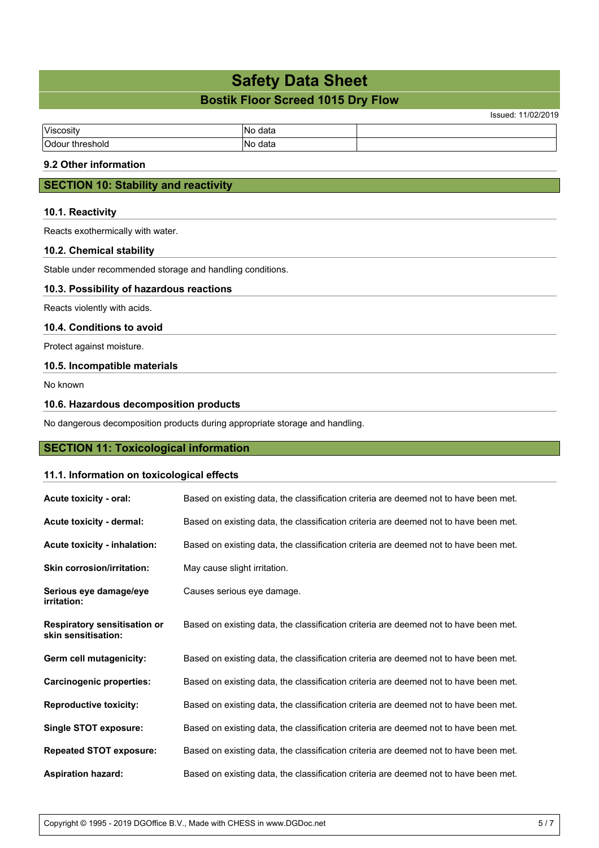# **Safety Data Sheet**

## **Bostik Floor Screed 1015 Dry Flow**

Issued: 11/02/2019

| Viscosity      | data        |  |
|----------------|-------------|--|
| $\sim$<br>nold | data<br>n L |  |

## **9.2 Other information**

## **SECTION 10: Stability and reactivity**

## **10.1. Reactivity**

Reacts exothermically with water.

## **10.2. Chemical stability**

Stable under recommended storage and handling conditions.

## **10.3. Possibility of hazardous reactions**

Reacts violently with acids.

#### **10.4. Conditions to avoid**

Protect against moisture.

## **10.5. Incompatible materials**

No known

## **10.6. Hazardous decomposition products**

No dangerous decomposition products during appropriate storage and handling.

## **SECTION 11: Toxicological information**

## **11.1. Information on toxicological effects**

| Acute toxicity - oral:                                     | Based on existing data, the classification criteria are deemed not to have been met. |
|------------------------------------------------------------|--------------------------------------------------------------------------------------|
| <b>Acute toxicity - dermal:</b>                            | Based on existing data, the classification criteria are deemed not to have been met. |
| Acute toxicity - inhalation:                               | Based on existing data, the classification criteria are deemed not to have been met. |
| <b>Skin corrosion/irritation:</b>                          | May cause slight irritation.                                                         |
| Serious eye damage/eye<br>irritation:                      | Causes serious eye damage.                                                           |
| <b>Respiratory sensitisation or</b><br>skin sensitisation: | Based on existing data, the classification criteria are deemed not to have been met. |
| Germ cell mutagenicity:                                    | Based on existing data, the classification criteria are deemed not to have been met. |
| <b>Carcinogenic properties:</b>                            | Based on existing data, the classification criteria are deemed not to have been met. |
| <b>Reproductive toxicity:</b>                              | Based on existing data, the classification criteria are deemed not to have been met. |
| Single STOT exposure:                                      | Based on existing data, the classification criteria are deemed not to have been met. |
| <b>Repeated STOT exposure:</b>                             | Based on existing data, the classification criteria are deemed not to have been met. |
| <b>Aspiration hazard:</b>                                  | Based on existing data, the classification criteria are deemed not to have been met. |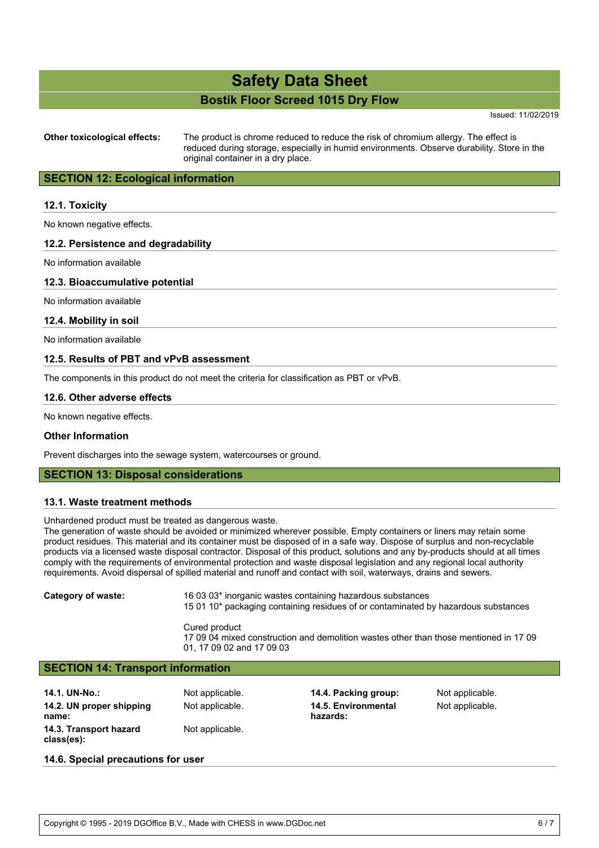Issued: 11/02/2019

**Other toxicological effects:** The product is chrome reduced to reduce the risk of chromium allergy. The effect is reduced during storage, especially in humid environments. Observe durability. Store in the original container in a dry place.

## **SECTION 12: Ecological information**

## **12.1. Toxicity**

No known negative effects.

## **12.2. Persistence and degradability**

No information available

## **12.3. Bioaccumulative potential**

No information available

## **12.4. Mobility in soil**

No information available

## **12.5. Results of PBT and vPvB assessment**

The components in this product do not meet the criteria for classification as PBT or vPvB.

## **12.6. Other adverse effects**

No known negative effects.

## **Other Information**

Prevent discharges into the sewage system, watercourses or ground.

## **SECTION 13: Disposal considerations**

## **13.1. Waste treatment methods**

Unhardened product must be treated as dangerous waste.

The generation of waste should be avoided or minimized wherever possible. Empty containers or liners may retain some product residues. This material and its container must be disposed of in a safe way. Dispose of surplus and non-recyclable products via a licensed waste disposal contractor. Disposal of this product, solutions and any by-products should at all times comply with the requirements of environmental protection and waste disposal legislation and any regional local authority requirements. Avoid dispersal of spilled material and runoff and contact with soil, waterways, drains and sewers.

**Category of waste:** 16 03 03\* inorganic wastes containing hazardous substances 15 01 10\* packaging containing residues of or contaminated by hazardous substances

> Cured product 17 09 04 mixed construction and demolition wastes other than those mentioned in 17 09 01, 17 09 02 and 17 09 03

## **SECTION 14: Transport information**

| 14.1. UN-No.:            | <b>Not</b> |
|--------------------------|------------|
| 14.2. UN proper shipping | Not        |
| name:                    |            |
| 14.3. Transport hazard   | Not        |
| class(es):               |            |

Not applicable. **14.5. Environmental hazards:**

**14.4. Packing group:** Not applicable. Not applicable.

#### **14.6. Special precautions for user**

applicable.